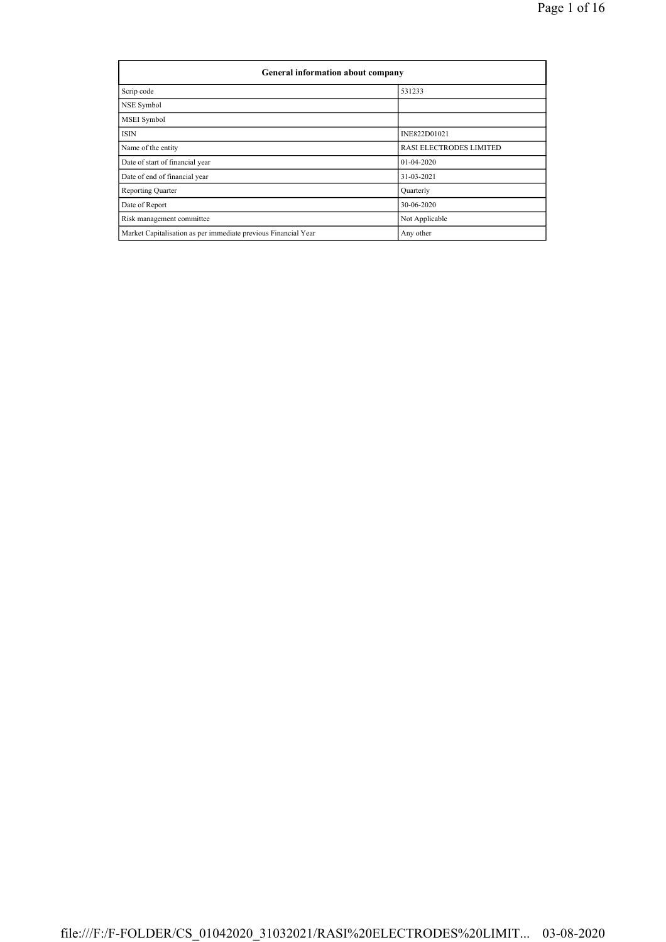| <b>General information about company</b>                       |                                |  |  |  |  |  |  |
|----------------------------------------------------------------|--------------------------------|--|--|--|--|--|--|
| Scrip code                                                     | 531233                         |  |  |  |  |  |  |
| NSE Symbol                                                     |                                |  |  |  |  |  |  |
| MSEI Symbol                                                    |                                |  |  |  |  |  |  |
| <b>ISIN</b>                                                    | INE822D01021                   |  |  |  |  |  |  |
| Name of the entity                                             | <b>RASI ELECTRODES LIMITED</b> |  |  |  |  |  |  |
| Date of start of financial year                                | $01-04-2020$                   |  |  |  |  |  |  |
| Date of end of financial year                                  | 31-03-2021                     |  |  |  |  |  |  |
| <b>Reporting Quarter</b>                                       | Quarterly                      |  |  |  |  |  |  |
| Date of Report                                                 | 30-06-2020                     |  |  |  |  |  |  |
| Risk management committee                                      | Not Applicable                 |  |  |  |  |  |  |
| Market Capitalisation as per immediate previous Financial Year | Any other                      |  |  |  |  |  |  |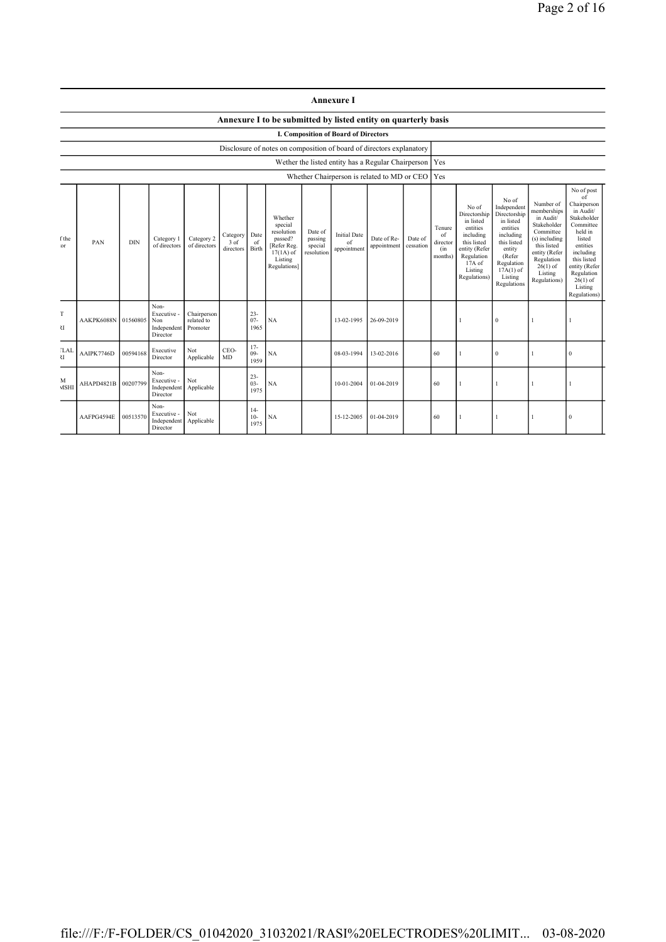|                                                                                                                                                                                                                                                                                                                                                                                                                                                                                                                                                                                                                                                                | <b>Annexure I</b>                           |          |                                                       |                                       |                                                                                                                                                                      |                                                                                                                                                                           |                                                                                                                                                                                                               |  |            |            |     |  |              |  |          |
|----------------------------------------------------------------------------------------------------------------------------------------------------------------------------------------------------------------------------------------------------------------------------------------------------------------------------------------------------------------------------------------------------------------------------------------------------------------------------------------------------------------------------------------------------------------------------------------------------------------------------------------------------------------|---------------------------------------------|----------|-------------------------------------------------------|---------------------------------------|----------------------------------------------------------------------------------------------------------------------------------------------------------------------|---------------------------------------------------------------------------------------------------------------------------------------------------------------------------|---------------------------------------------------------------------------------------------------------------------------------------------------------------------------------------------------------------|--|------------|------------|-----|--|--------------|--|----------|
|                                                                                                                                                                                                                                                                                                                                                                                                                                                                                                                                                                                                                                                                |                                             |          |                                                       |                                       |                                                                                                                                                                      |                                                                                                                                                                           | Annexure I to be submitted by listed entity on quarterly basis                                                                                                                                                |  |            |            |     |  |              |  |          |
|                                                                                                                                                                                                                                                                                                                                                                                                                                                                                                                                                                                                                                                                | <b>I. Composition of Board of Directors</b> |          |                                                       |                                       |                                                                                                                                                                      |                                                                                                                                                                           |                                                                                                                                                                                                               |  |            |            |     |  |              |  |          |
| Disclosure of notes on composition of board of directors explanatory<br>Wether the listed entity has a Regular Chairperson   Yes                                                                                                                                                                                                                                                                                                                                                                                                                                                                                                                               |                                             |          |                                                       |                                       |                                                                                                                                                                      |                                                                                                                                                                           |                                                                                                                                                                                                               |  |            |            |     |  |              |  |          |
|                                                                                                                                                                                                                                                                                                                                                                                                                                                                                                                                                                                                                                                                |                                             |          |                                                       |                                       |                                                                                                                                                                      |                                                                                                                                                                           |                                                                                                                                                                                                               |  |            |            | Yes |  |              |  |          |
| Whether Chairperson is related to MD or CEO<br>No of<br>Directorship<br>Whether<br>in listed<br>special<br>entities<br>Tenure<br>resolution<br>Date of<br><b>Initial Date</b><br>including<br>Date<br>of<br>Category<br>Date of Re-<br>Category 2<br>Date of<br>f the<br>Category 1<br>passed?<br>passing<br>PAN<br><b>DIN</b><br>3 of<br>this listed<br>of<br>of<br>director<br>of directors<br>cessation<br>of directors<br>[Refer Reg.<br>special<br>appointment<br>or<br>Birth<br>entity (Refer<br>directors<br>appointment<br>(in<br>resolution<br>$17(1A)$ of<br>Regulation<br>months)<br>Listing<br>$17A$ of<br>Regulations]<br>Listing<br>Regulations) |                                             |          |                                                       |                                       | No of<br>Independent<br>Directorship<br>in listed<br>entities<br>including<br>this listed<br>entity<br>(Refer<br>Regulation<br>$17A(1)$ of<br>Listing<br>Regulations | Number of<br>memberships<br>in Audit/<br>Stakeholder<br>Committee<br>(s) including<br>this listed<br>entity (Refer<br>Regulation<br>$26(1)$ of<br>Listing<br>Regulations) | No of post<br>of<br>Chairperson<br>in Audit/<br>Stakeholder<br>Committee<br>held in<br>listed<br>entities<br>including<br>this listed<br>entity (Refer<br>Regulation<br>$26(1)$ of<br>Listing<br>Regulations) |  |            |            |     |  |              |  |          |
| T<br>U                                                                                                                                                                                                                                                                                                                                                                                                                                                                                                                                                                                                                                                         | AAKPK6088N                                  | 01560805 | Non-<br>Executive -<br>Non<br>Independent<br>Director | Chairperson<br>related to<br>Promoter |                                                                                                                                                                      | $23 -$<br>$07 -$<br>1965                                                                                                                                                  | NA                                                                                                                                                                                                            |  | 13-02-1995 | 26-09-2019 |     |  | $\mathbf{0}$ |  |          |
| <b>LAI</b><br>$\overline{\mathcal{M}}$                                                                                                                                                                                                                                                                                                                                                                                                                                                                                                                                                                                                                         | AAIPK7746D                                  | 00594168 | Executive<br>Director                                 | Not<br>Applicable                     | CEO-<br>MD                                                                                                                                                           | $17-$<br>$09-$<br>1959                                                                                                                                                    | NA                                                                                                                                                                                                            |  | 08-03-1994 | 13-02-2016 | 60  |  | $\mathbf{0}$ |  | $\bf{0}$ |
| M<br><b>MSHI</b>                                                                                                                                                                                                                                                                                                                                                                                                                                                                                                                                                                                                                                               | AHAPD4821B                                  | 00207799 | Non-<br>Executive -<br>Independent<br>Director        | Not<br>Applicable                     |                                                                                                                                                                      | $23 -$<br>$03 -$<br>1975                                                                                                                                                  | NA                                                                                                                                                                                                            |  | 10-01-2004 | 01-04-2019 | 60  |  | -1           |  |          |
|                                                                                                                                                                                                                                                                                                                                                                                                                                                                                                                                                                                                                                                                | AAFPG4594E                                  | 00513570 | Non-<br>Executive -<br>Independent<br>Director        | Not<br>Applicable                     |                                                                                                                                                                      | $14-$<br>$10-$<br>1975                                                                                                                                                    | NA                                                                                                                                                                                                            |  | 15-12-2005 | 01-04-2019 | 60  |  |              |  | $\theta$ |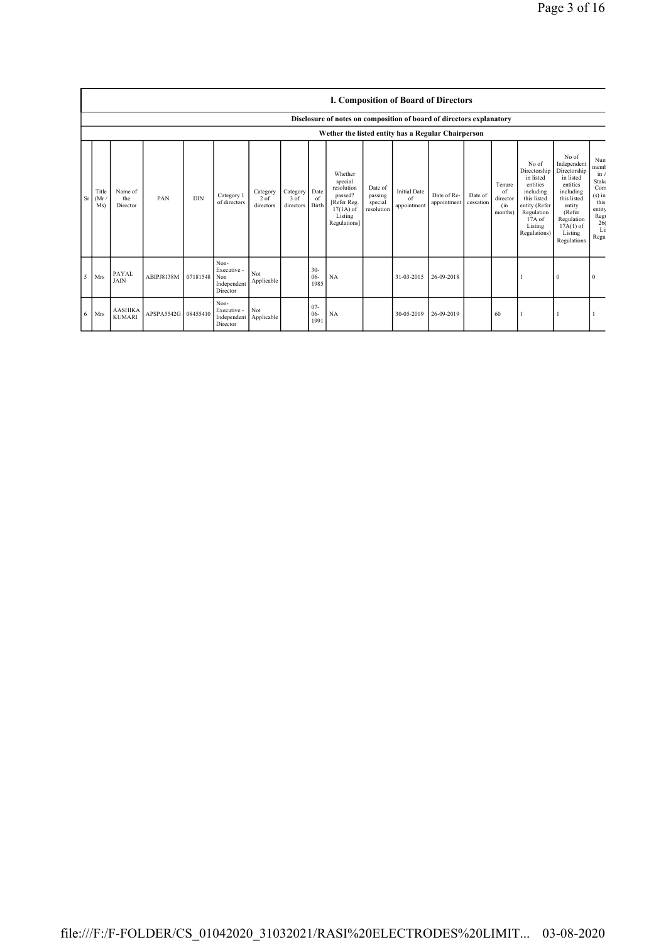|   |                           | <b>I. Composition of Board of Directors</b> |                     |            |                                                       |                                 |                                    |                         |                                                                                                      |                                             |                                          |                            |                      |                                            |                                                                                                                                                  |                                                                                                                                                                      |                                                                                             |
|---|---------------------------|---------------------------------------------|---------------------|------------|-------------------------------------------------------|---------------------------------|------------------------------------|-------------------------|------------------------------------------------------------------------------------------------------|---------------------------------------------|------------------------------------------|----------------------------|----------------------|--------------------------------------------|--------------------------------------------------------------------------------------------------------------------------------------------------|----------------------------------------------------------------------------------------------------------------------------------------------------------------------|---------------------------------------------------------------------------------------------|
|   |                           |                                             |                     |            |                                                       |                                 |                                    |                         | Disclosure of notes on composition of board of directors explanatory                                 |                                             |                                          |                            |                      |                                            |                                                                                                                                                  |                                                                                                                                                                      |                                                                                             |
|   |                           |                                             |                     |            |                                                       |                                 |                                    |                         | Wether the listed entity has a Regular Chairperson                                                   |                                             |                                          |                            |                      |                                            |                                                                                                                                                  |                                                                                                                                                                      |                                                                                             |
|   | Title<br>$Sr$ (Mr)<br>Ms) | Name of<br>the<br>Director                  | PAN                 | <b>DIN</b> | Category 1<br>of directors                            | Category<br>$2$ of<br>directors | Category Date<br>3 of<br>directors | of<br>Birth             | Whether<br>special<br>resolution<br>passed?<br>[Refer Reg.<br>$17(1A)$ of<br>Listing<br>Regulations] | Date of<br>passing<br>special<br>resolution | <b>Initial Date</b><br>of<br>appointment | Date of Re-<br>appointment | Date of<br>cessation | Tenure<br>of<br>director<br>(in<br>months) | No of<br>Directorship<br>in listed<br>entities<br>including<br>this listed<br>entity (Refer<br>Regulation<br>$17A$ of<br>Listing<br>Regulations) | No of<br>Independent<br>Directorship<br>in listed<br>entities<br>including<br>this listed<br>entity<br>(Refer<br>Regulation<br>$17A(1)$ of<br>Listing<br>Regulations | Nun<br>memb<br>in/<br>Stake<br>Com<br>$(s)$ in<br>this<br>entity<br>Reg<br>26<br>Li<br>Regu |
| 5 | Mrs                       | <b>PAYAL</b><br><b>JAIN</b>                 | ABIPJ8138M          | 07181548   | Non-<br>Executive -<br>Non<br>Independent<br>Director | Not<br>Applicable               |                                    | $30-$<br>$06 -$<br>1985 | NA                                                                                                   |                                             | 31-03-2015                               | 26-09-2018                 |                      |                                            |                                                                                                                                                  | $\mathbf{0}$                                                                                                                                                         | $\Omega$                                                                                    |
| 6 | Mrs                       | <b>AASHIKA</b><br><b>KUMARI</b>             | APSPA5542G 08455410 |            | Non-<br>Executive -<br>Independent<br>Director        | Not<br>Applicable               |                                    | $07 -$<br>$06-$<br>1991 | NA                                                                                                   |                                             | 30-05-2019                               | 26-09-2019                 |                      | 60                                         |                                                                                                                                                  |                                                                                                                                                                      |                                                                                             |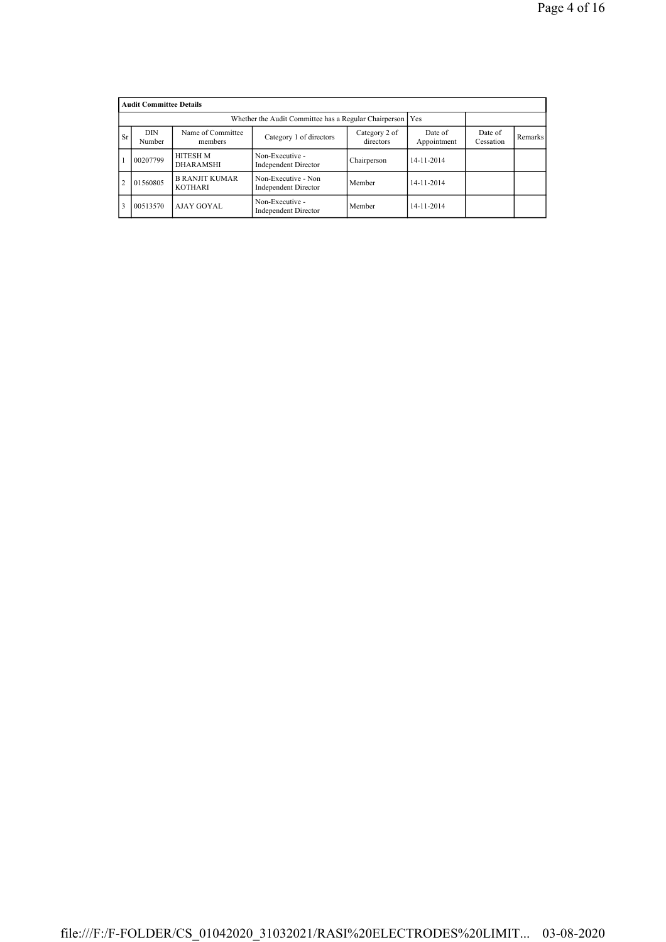|                | <b>Audit Committee Details</b> |                                         |                                                    |                            |                        |                      |         |  |  |  |
|----------------|--------------------------------|-----------------------------------------|----------------------------------------------------|----------------------------|------------------------|----------------------|---------|--|--|--|
|                |                                |                                         |                                                    |                            |                        |                      |         |  |  |  |
| <b>Sr</b>      | DIN<br>Number                  | Name of Committee<br>members            | Category 1 of directors                            | Category 2 of<br>directors | Date of<br>Appointment | Date of<br>Cessation | Remarks |  |  |  |
|                | 00207799                       | <b>HITESH M</b><br><b>DHARAMSHI</b>     | Non-Executive -<br><b>Independent Director</b>     | Chairperson                | 14-11-2014             |                      |         |  |  |  |
| $\overline{2}$ | 01560805                       | <b>B RANJIT KUMAR</b><br><b>KOTHARI</b> | Non-Executive - Non<br><b>Independent Director</b> | Member                     | 14-11-2014             |                      |         |  |  |  |
|                | 00513570                       | AJAY GOYAL                              | Non-Executive -<br><b>Independent Director</b>     | Member                     | 14-11-2014             |                      |         |  |  |  |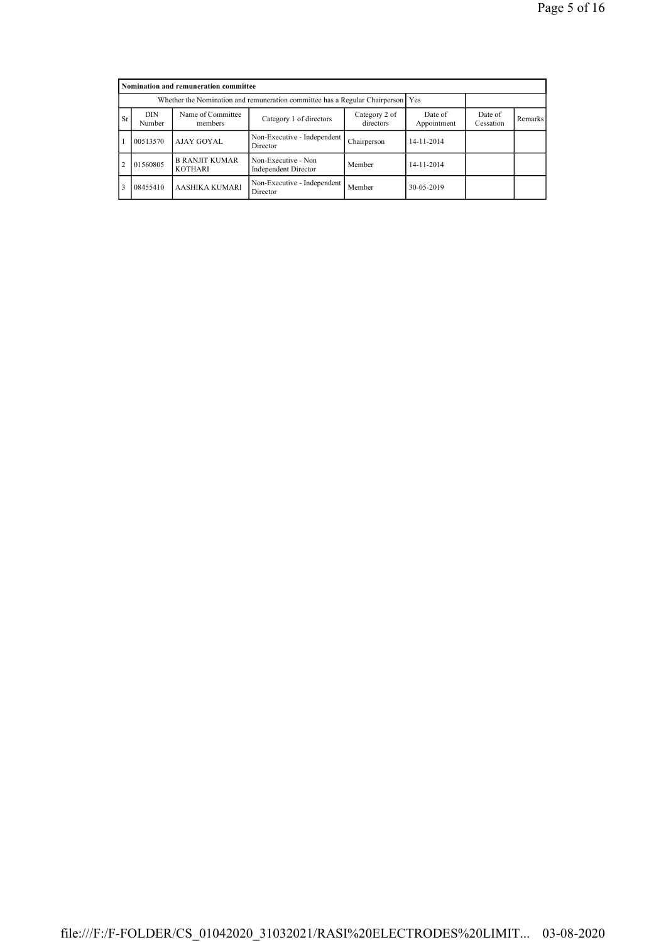|                | Nomination and remuneration committee                                           |                                         |                                                    |                      |            |  |  |  |  |  |
|----------------|---------------------------------------------------------------------------------|-----------------------------------------|----------------------------------------------------|----------------------|------------|--|--|--|--|--|
|                | Whether the Nomination and remuneration committee has a Regular Chairperson Yes |                                         |                                                    |                      |            |  |  |  |  |  |
| <b>Sr</b>      | DIN<br>Number                                                                   | Name of Committee<br>members            | Date of<br>Appointment                             | Date of<br>Cessation | Remarks    |  |  |  |  |  |
|                | 00513570                                                                        | AJAY GOYAL                              | Non-Executive - Independent<br>Director            | Chairperson          | 14-11-2014 |  |  |  |  |  |
| $\overline{2}$ | 01560805                                                                        | <b>B RANJIT KUMAR</b><br><b>KOTHARI</b> | Non-Executive - Non<br><b>Independent Director</b> | Member               | 14-11-2014 |  |  |  |  |  |
| 3              | 08455410                                                                        | AASHIKA KUMARI                          | Non-Executive - Independent<br>Director            | Member               | 30-05-2019 |  |  |  |  |  |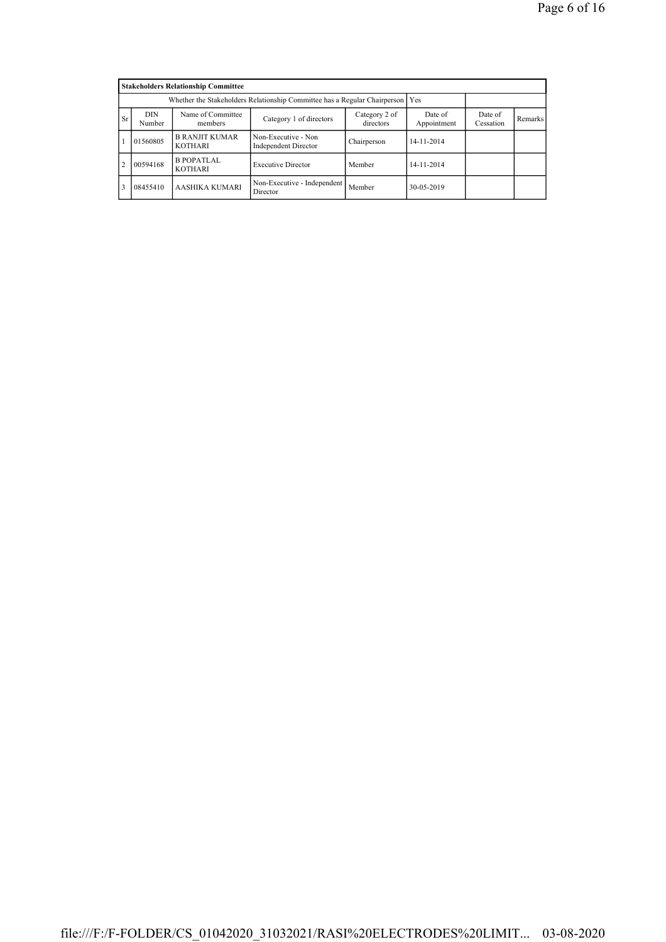|                | <b>Stakeholders Relationship Committee</b> |                                                                                 |                                             |             |            |  |  |  |  |  |
|----------------|--------------------------------------------|---------------------------------------------------------------------------------|---------------------------------------------|-------------|------------|--|--|--|--|--|
|                |                                            | Whether the Stakeholders Relationship Committee has a Regular Chairperson   Yes |                                             |             |            |  |  |  |  |  |
| <b>Sr</b>      | DIN<br>Number                              | Date of<br>Cessation                                                            | Remarks                                     |             |            |  |  |  |  |  |
|                | 01560805                                   | <b>B RANJIT KUMAR</b><br><b>KOTHARI</b>                                         | Non-Executive - Non<br>Independent Director | Chairperson | 14-11-2014 |  |  |  |  |  |
| $\overline{2}$ | 00594168                                   | <b>B POPATLAL</b><br><b>KOTHARI</b>                                             | <b>Executive Director</b>                   | Member      | 14-11-2014 |  |  |  |  |  |
| 3              | 08455410                                   | AASHIKA KUMARI                                                                  | Non-Executive - Independent<br>Director     | Member      | 30-05-2019 |  |  |  |  |  |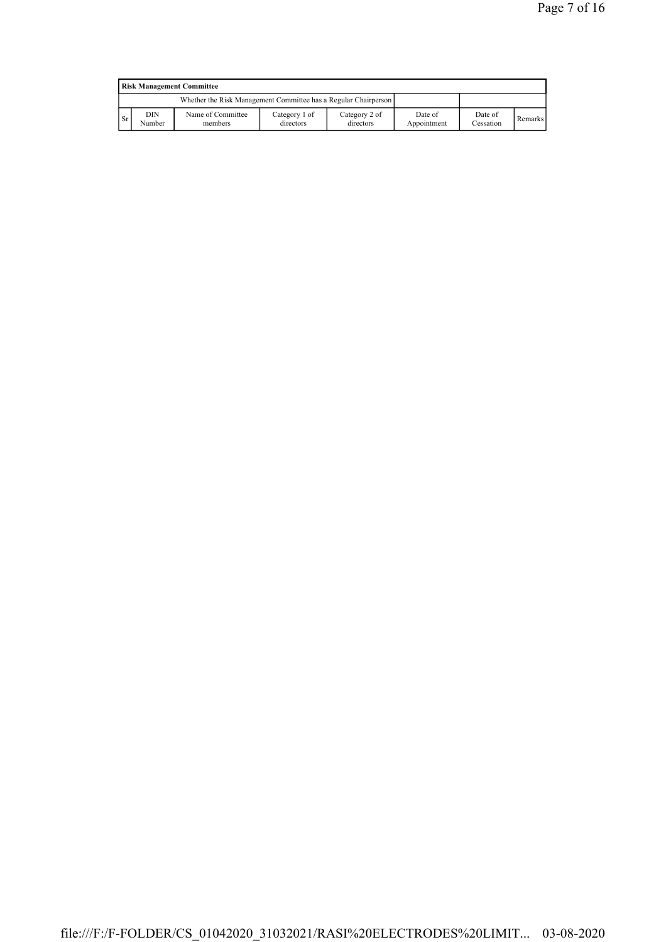| <b>Risk Management Committee</b> |               |                                                                 |                            |                            |                        |                      |         |  |
|----------------------------------|---------------|-----------------------------------------------------------------|----------------------------|----------------------------|------------------------|----------------------|---------|--|
|                                  |               | Whether the Risk Management Committee has a Regular Chairperson |                            |                            |                        |                      |         |  |
| <sup>Sr</sup>                    | DIN<br>Number | Name of Committee<br>members                                    | Category 1 of<br>directors | Category 2 of<br>directors | Date of<br>Appointment | Date of<br>Cessation | Remarks |  |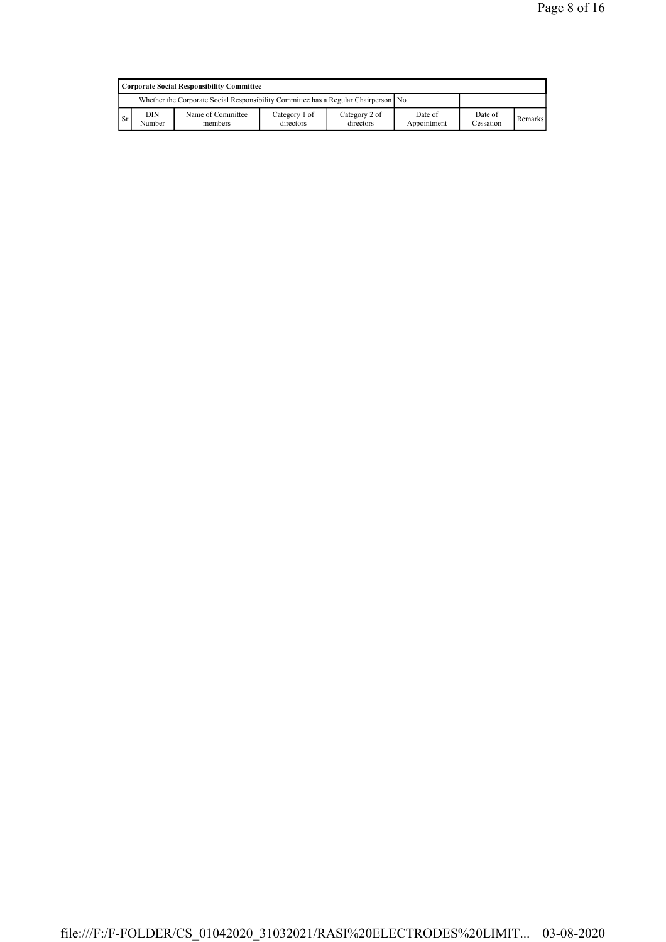|           | Corporate Social Responsibility Committee                                            |                              |                            |                            |                        |                      |                |  |  |
|-----------|--------------------------------------------------------------------------------------|------------------------------|----------------------------|----------------------------|------------------------|----------------------|----------------|--|--|
|           | Whether the Corporate Social Responsibility Committee has a Regular Chairperson   No |                              |                            |                            |                        |                      |                |  |  |
| <b>Sr</b> | DIN<br>Number                                                                        | Name of Committee<br>members | Category 1 of<br>directors | Category 2 of<br>directors | Date of<br>Appointment | Date of<br>Cessation | <b>Remarks</b> |  |  |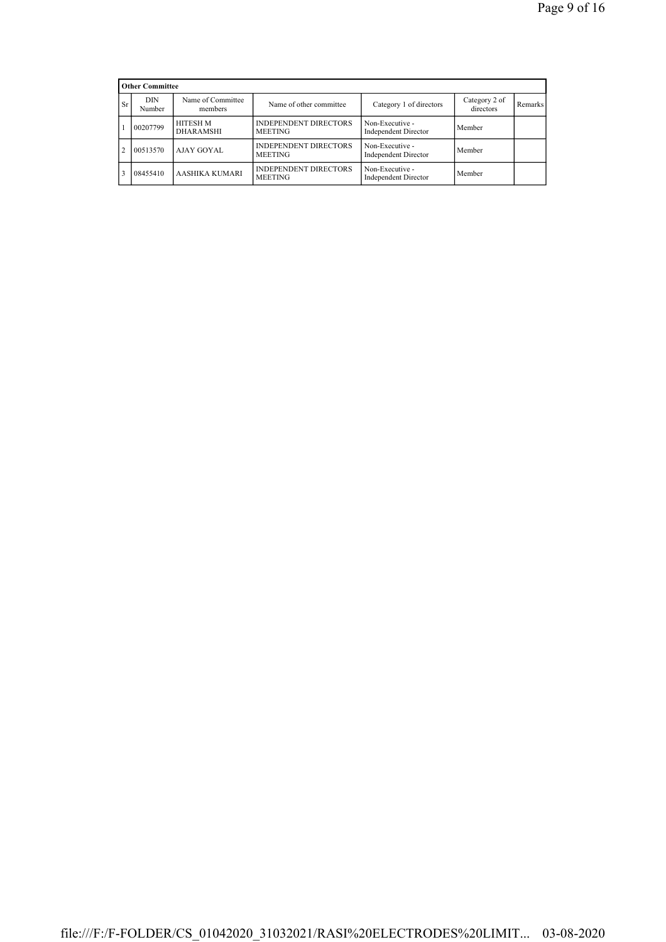|                | <b>Other Committee</b> |                              |                                                |                                                |                            |         |
|----------------|------------------------|------------------------------|------------------------------------------------|------------------------------------------------|----------------------------|---------|
| Sr             | <b>DIN</b><br>Number   | Name of Committee<br>members | Name of other committee                        | Category 1 of directors                        | Category 2 of<br>directors | Remarks |
|                | 00207799               | HITESH M<br><b>DHARAMSHI</b> | <b>INDEPENDENT DIRECTORS</b><br><b>MEETING</b> | Non-Executive -<br><b>Independent Director</b> | Member                     |         |
| $\mathfrak{D}$ | 00513570               | AJAY GOYAL                   | <b>INDEPENDENT DIRECTORS</b><br><b>MEETING</b> | Non-Executive -<br><b>Independent Director</b> | Member                     |         |
|                | 08455410               | AASHIKA KUMARI               | <b>INDEPENDENT DIRECTORS</b><br><b>MEETING</b> | Non-Executive -<br><b>Independent Director</b> | Member                     |         |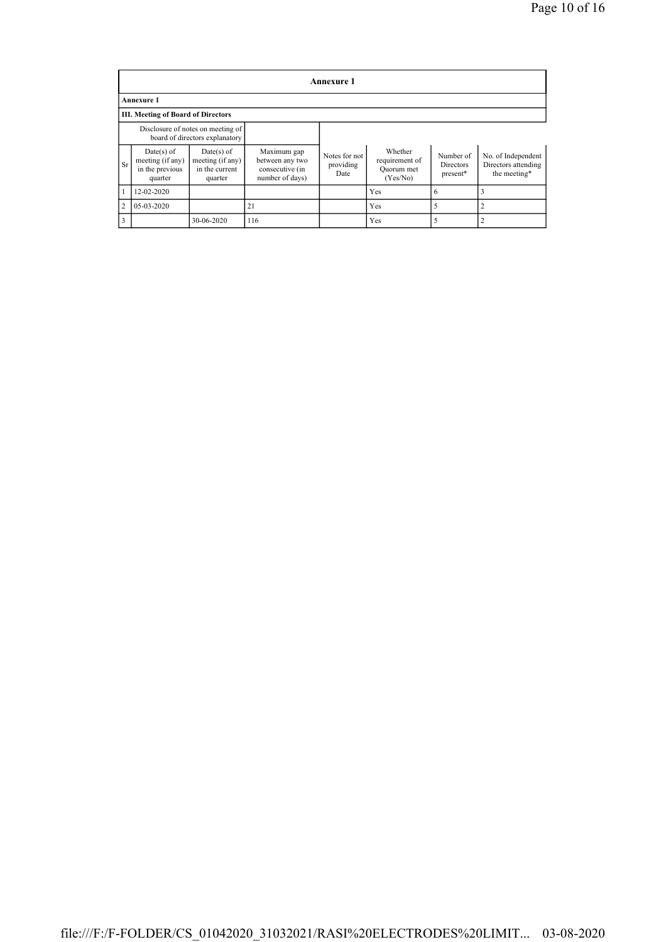|                | <b>Annexure 1</b>                                                   |                                                             |                                                                      |                                    |                                                     |                                           |                                                           |  |  |
|----------------|---------------------------------------------------------------------|-------------------------------------------------------------|----------------------------------------------------------------------|------------------------------------|-----------------------------------------------------|-------------------------------------------|-----------------------------------------------------------|--|--|
|                | <b>Annexure 1</b>                                                   |                                                             |                                                                      |                                    |                                                     |                                           |                                                           |  |  |
|                | <b>III. Meeting of Board of Directors</b>                           |                                                             |                                                                      |                                    |                                                     |                                           |                                                           |  |  |
|                | Disclosure of notes on meeting of<br>board of directors explanatory |                                                             |                                                                      |                                    |                                                     |                                           |                                                           |  |  |
| Sr             | $Date(s)$ of<br>meeting (if any)<br>in the previous<br>quarter      | Date(s) of<br>meeting (if any)<br>in the current<br>quarter | Maximum gap<br>between any two<br>consecutive (in<br>number of days) | Notes for not<br>providing<br>Date | Whether<br>requirement of<br>Quorum met<br>(Yes/No) | Number of<br><b>Directors</b><br>present* | No. of Independent<br>Directors attending<br>the meeting* |  |  |
|                | 12-02-2020                                                          |                                                             |                                                                      |                                    | Yes                                                 | 6                                         |                                                           |  |  |
| $\overline{2}$ | 05-03-2020                                                          |                                                             | 21                                                                   |                                    | Yes                                                 |                                           | C                                                         |  |  |
|                |                                                                     | 30-06-2020                                                  | 116                                                                  |                                    | Yes                                                 |                                           |                                                           |  |  |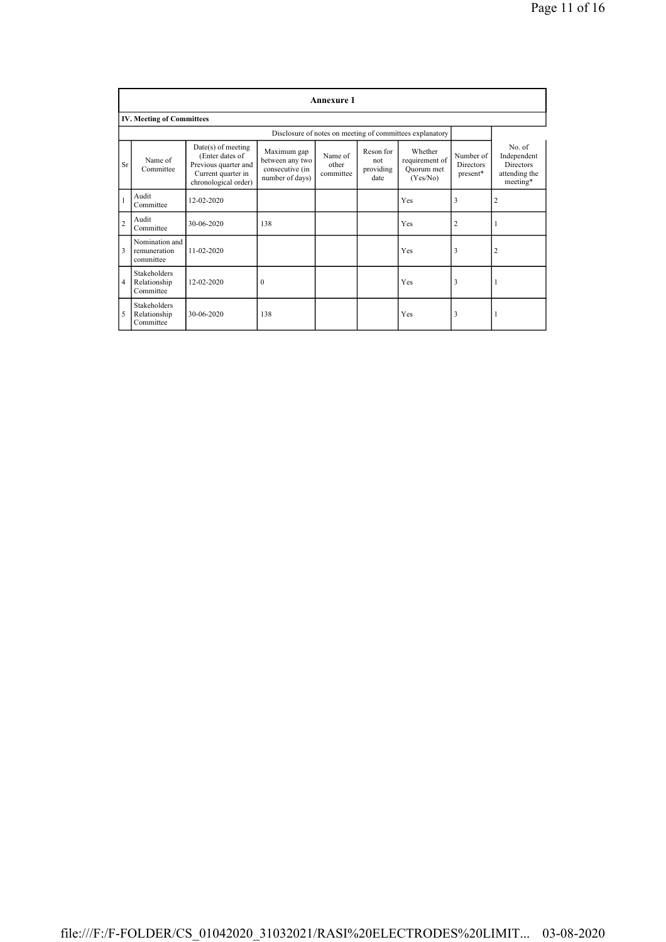|                | <b>Annexure 1</b>                           |                                                                                                               |                                                                      |                               |                                       |                                                          |                                           |                                                                        |  |
|----------------|---------------------------------------------|---------------------------------------------------------------------------------------------------------------|----------------------------------------------------------------------|-------------------------------|---------------------------------------|----------------------------------------------------------|-------------------------------------------|------------------------------------------------------------------------|--|
|                | <b>IV. Meeting of Committees</b>            |                                                                                                               |                                                                      |                               |                                       |                                                          |                                           |                                                                        |  |
|                |                                             |                                                                                                               |                                                                      |                               |                                       | Disclosure of notes on meeting of committees explanatory |                                           |                                                                        |  |
| Sr             | Name of<br>Committee                        | $Date(s)$ of meeting<br>(Enter dates of<br>Previous quarter and<br>Current quarter in<br>chronological order) | Maximum gap<br>between any two<br>consecutive (in<br>number of days) | Name of<br>other<br>committee | Reson for<br>not<br>providing<br>date | Whether<br>requirement of<br>Quorum met<br>(Yes/No)      | Number of<br><b>Directors</b><br>present* | No. of<br>Independent<br><b>Directors</b><br>attending the<br>meeting* |  |
| $\mathbf{1}$   | Audit<br>Committee                          | 12-02-2020                                                                                                    |                                                                      |                               |                                       | Yes                                                      | 3                                         | 2                                                                      |  |
| $\overline{c}$ | Audit<br>Committee                          | 30-06-2020                                                                                                    | 138                                                                  |                               |                                       | Yes                                                      | $\overline{c}$                            |                                                                        |  |
| 3              | Nomination and<br>remuneration<br>committee | $11 - 02 - 2020$                                                                                              |                                                                      |                               |                                       | Yes                                                      | 3                                         | $\overline{2}$                                                         |  |
| $\overline{4}$ | Stakeholders<br>Relationship<br>Committee   | 12-02-2020                                                                                                    | $\theta$                                                             |                               |                                       | Yes                                                      | 3                                         |                                                                        |  |
| 5              | Stakeholders<br>Relationship<br>Committee   | 30-06-2020                                                                                                    | 138                                                                  |                               |                                       | Yes                                                      | 3                                         |                                                                        |  |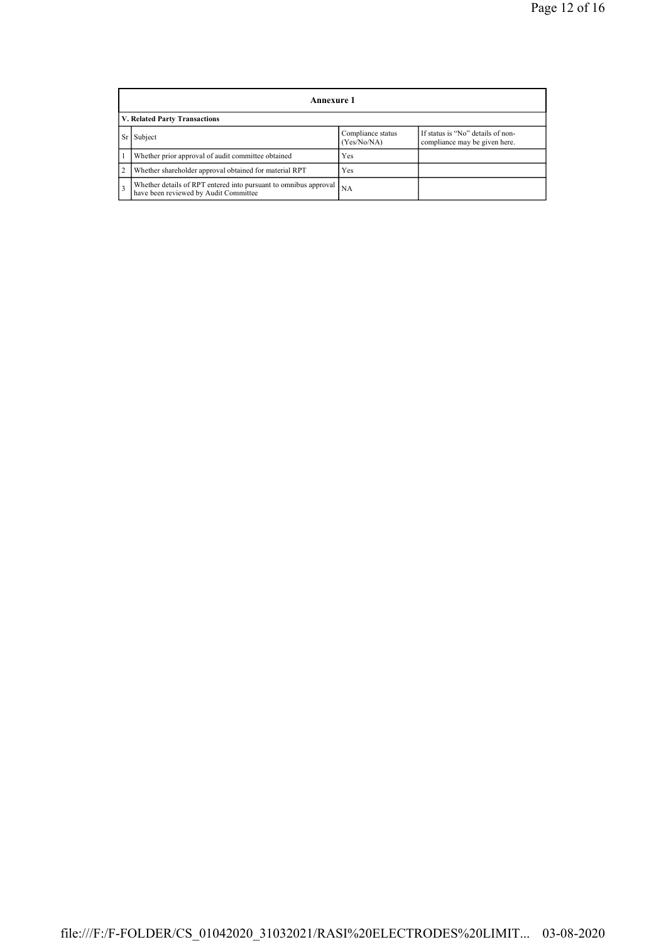|                | Annexure 1                                                                                                        |           |  |  |  |  |  |  |
|----------------|-------------------------------------------------------------------------------------------------------------------|-----------|--|--|--|--|--|--|
|                | V. Related Party Transactions                                                                                     |           |  |  |  |  |  |  |
|                | If status is "No" details of non-<br>Compliance status<br>Subject<br>(Yes/No/NA)<br>compliance may be given here. |           |  |  |  |  |  |  |
|                | Whether prior approval of audit committee obtained                                                                | Yes       |  |  |  |  |  |  |
| $\overline{2}$ | Whether shareholder approval obtained for material RPT                                                            | Yes       |  |  |  |  |  |  |
| 3              | Whether details of RPT entered into pursuant to omnibus approval<br>have been reviewed by Audit Committee         | <b>NA</b> |  |  |  |  |  |  |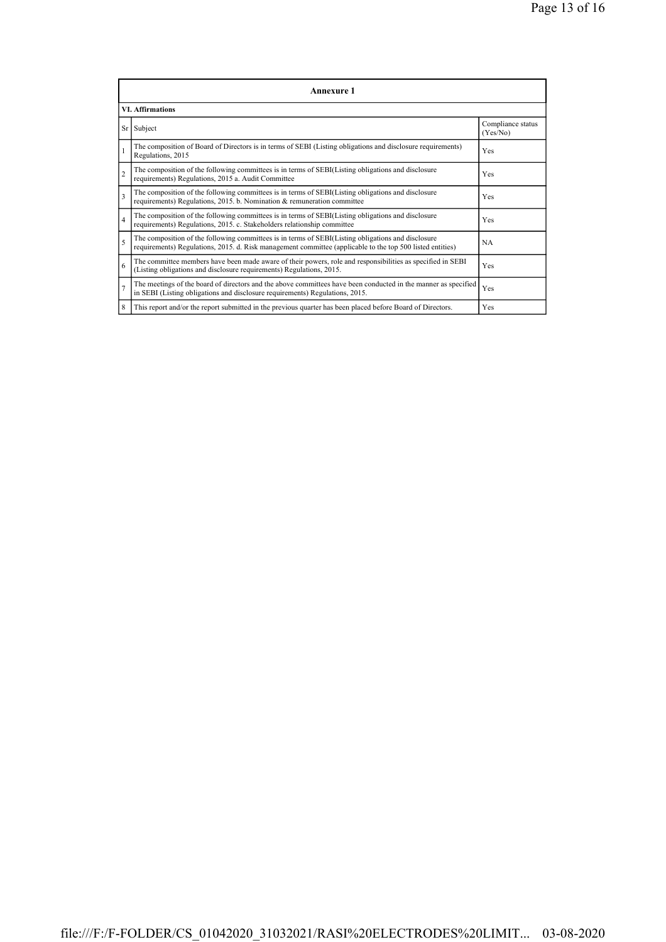| Annexure 1              |                                                                                                                                                                                                                 |                               |  |  |
|-------------------------|-----------------------------------------------------------------------------------------------------------------------------------------------------------------------------------------------------------------|-------------------------------|--|--|
| <b>VI. Affirmations</b> |                                                                                                                                                                                                                 |                               |  |  |
|                         | Sr Subject                                                                                                                                                                                                      | Compliance status<br>(Yes/No) |  |  |
|                         | The composition of Board of Directors is in terms of SEBI (Listing obligations and disclosure requirements)<br>Regulations, 2015                                                                                | Yes                           |  |  |
| $\overline{c}$          | The composition of the following committees is in terms of SEBI(Listing obligations and disclosure<br>requirements) Regulations, 2015 a. Audit Committee                                                        | Yes                           |  |  |
| $\overline{\mathbf{3}}$ | The composition of the following committees is in terms of SEBI(Listing obligations and disclosure<br>requirements) Regulations, 2015. b. Nomination & remuneration committee                                   | Yes                           |  |  |
| $\overline{4}$          | The composition of the following committees is in terms of SEBI(Listing obligations and disclosure<br>requirements) Regulations, 2015. c. Stakeholders relationship committee                                   | Yes                           |  |  |
| 5                       | The composition of the following committees is in terms of SEBI(Listing obligations and disclosure<br>requirements) Regulations, 2015. d. Risk management committee (applicable to the top 500 listed entities) | <b>NA</b>                     |  |  |
| 6                       | The committee members have been made aware of their powers, role and responsibilities as specified in SEBI<br>(Listing obligations and disclosure requirements) Regulations, 2015.                              | Yes                           |  |  |
| $\overline{7}$          | The meetings of the board of directors and the above committees have been conducted in the manner as specified<br>in SEBI (Listing obligations and disclosure requirements) Regulations, 2015.                  | Yes                           |  |  |
| 8                       | This report and/or the report submitted in the previous quarter has been placed before Board of Directors.                                                                                                      | Yes                           |  |  |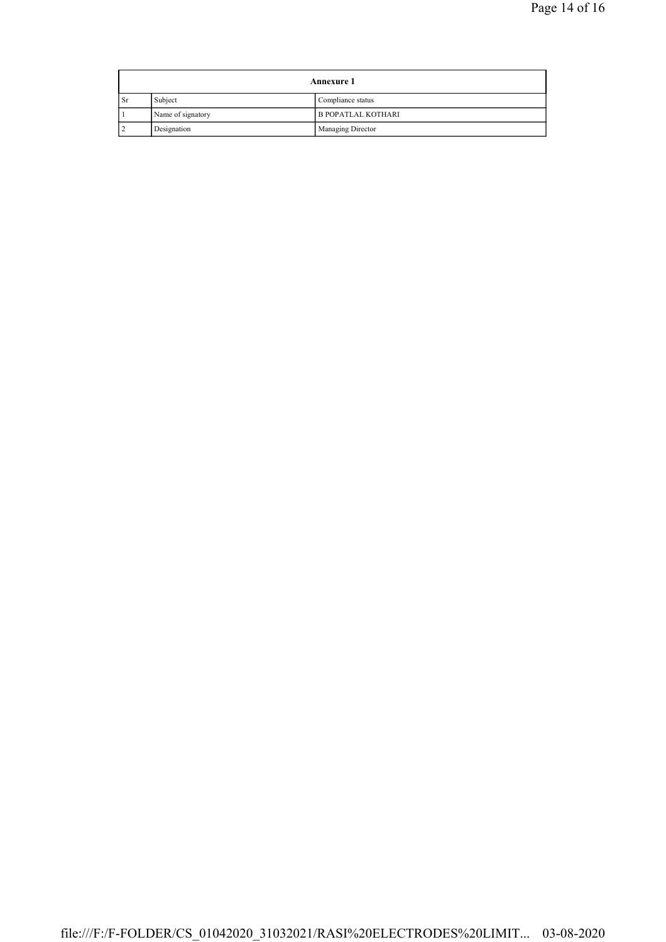| <b>Annexure 1</b> |                   |                           |
|-------------------|-------------------|---------------------------|
| <b>Sr</b>         | Subject           | Compliance status         |
|                   | Name of signatory | <b>B POPATLAL KOTHARI</b> |
|                   | Designation       | Managing Director         |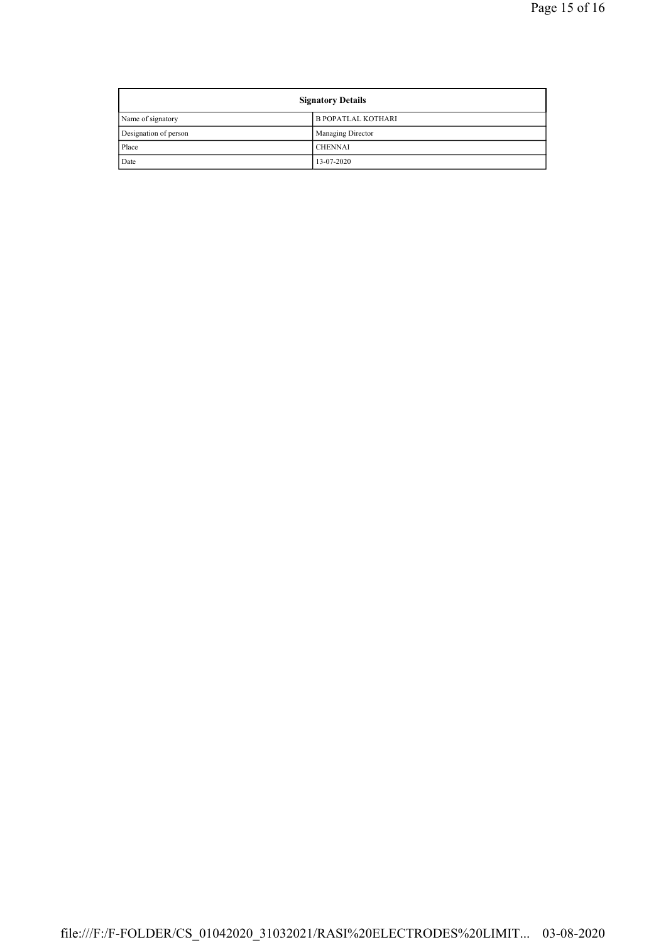| <b>Signatory Details</b> |                           |
|--------------------------|---------------------------|
| Name of signatory        | <b>B POPATLAL KOTHARI</b> |
| Designation of person    | Managing Director         |
| Place                    | <b>CHENNAI</b>            |
| Date                     | 13-07-2020                |